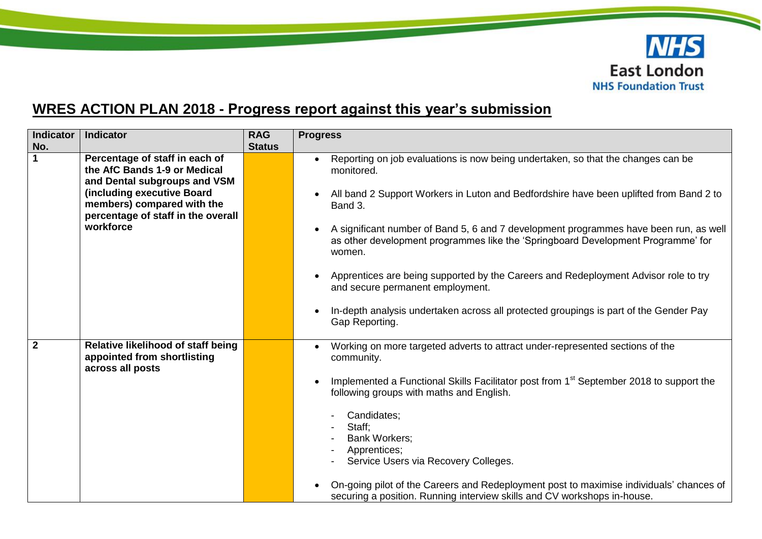

## **WRES ACTION PLAN 2018 - Progress report against this year's submission**

| Indicator<br>No. | <b>Indicator</b>                                                                                                                                                                                              | <b>RAG</b><br><b>Status</b> | <b>Progress</b>                                                                                                                                                                                                                                                                                                                                                                                                                                                                                                                                                                                                                                                                                   |
|------------------|---------------------------------------------------------------------------------------------------------------------------------------------------------------------------------------------------------------|-----------------------------|---------------------------------------------------------------------------------------------------------------------------------------------------------------------------------------------------------------------------------------------------------------------------------------------------------------------------------------------------------------------------------------------------------------------------------------------------------------------------------------------------------------------------------------------------------------------------------------------------------------------------------------------------------------------------------------------------|
| $\mathbf 1$      | Percentage of staff in each of<br>the AfC Bands 1-9 or Medical<br>and Dental subgroups and VSM<br>(including executive Board<br>members) compared with the<br>percentage of staff in the overall<br>workforce |                             | Reporting on job evaluations is now being undertaken, so that the changes can be<br>$\bullet$<br>monitored.<br>All band 2 Support Workers in Luton and Bedfordshire have been uplifted from Band 2 to<br>$\bullet$<br>Band 3.<br>A significant number of Band 5, 6 and 7 development programmes have been run, as well<br>$\bullet$<br>as other development programmes like the 'Springboard Development Programme' for<br>women.<br>Apprentices are being supported by the Careers and Redeployment Advisor role to try<br>$\bullet$<br>and secure permanent employment.<br>In-depth analysis undertaken across all protected groupings is part of the Gender Pay<br>$\bullet$<br>Gap Reporting. |
| $\overline{2}$   | Relative likelihood of staff being<br>appointed from shortlisting<br>across all posts                                                                                                                         |                             | Working on more targeted adverts to attract under-represented sections of the<br>$\bullet$<br>community.<br>Implemented a Functional Skills Facilitator post from 1 <sup>st</sup> September 2018 to support the<br>$\bullet$<br>following groups with maths and English.<br>Candidates;<br>Staff:<br><b>Bank Workers;</b><br>Apprentices;<br>Service Users via Recovery Colleges.<br>On-going pilot of the Careers and Redeployment post to maximise individuals' chances of<br>securing a position. Running interview skills and CV workshops in-house.                                                                                                                                          |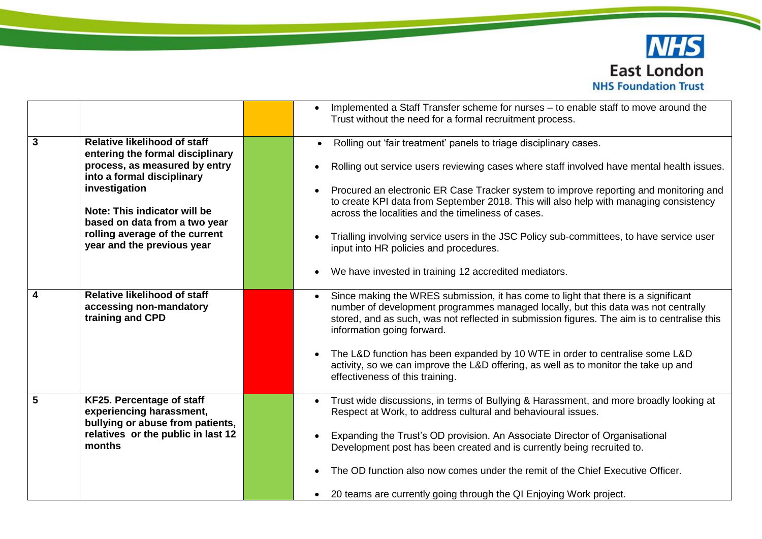

|   |                                                                                                                                           | Implemented a Staff Transfer scheme for nurses - to enable staff to move around the<br>Trust without the need for a formal recruitment process.                                                                                                                                                                   |
|---|-------------------------------------------------------------------------------------------------------------------------------------------|-------------------------------------------------------------------------------------------------------------------------------------------------------------------------------------------------------------------------------------------------------------------------------------------------------------------|
| 3 | <b>Relative likelihood of staff</b><br>entering the formal disciplinary<br>process, as measured by entry<br>into a formal disciplinary    | Rolling out 'fair treatment' panels to triage disciplinary cases.                                                                                                                                                                                                                                                 |
|   |                                                                                                                                           | Rolling out service users reviewing cases where staff involved have mental health issues.                                                                                                                                                                                                                         |
|   | investigation                                                                                                                             | Procured an electronic ER Case Tracker system to improve reporting and monitoring and<br>to create KPI data from September 2018. This will also help with managing consistency                                                                                                                                    |
|   | Note: This indicator will be<br>based on data from a two year<br>rolling average of the current<br>year and the previous year             | across the localities and the timeliness of cases.                                                                                                                                                                                                                                                                |
|   |                                                                                                                                           | Trialling involving service users in the JSC Policy sub-committees, to have service user<br>input into HR policies and procedures.                                                                                                                                                                                |
|   |                                                                                                                                           | We have invested in training 12 accredited mediators.                                                                                                                                                                                                                                                             |
| 4 | <b>Relative likelihood of staff</b><br>accessing non-mandatory<br>training and CPD                                                        | Since making the WRES submission, it has come to light that there is a significant<br>$\bullet$<br>number of development programmes managed locally, but this data was not centrally<br>stored, and as such, was not reflected in submission figures. The aim is to centralise this<br>information going forward. |
|   |                                                                                                                                           | The L&D function has been expanded by 10 WTE in order to centralise some L&D<br>activity, so we can improve the L&D offering, as well as to monitor the take up and<br>effectiveness of this training.                                                                                                            |
| 5 | KF25. Percentage of staff<br>experiencing harassment,<br>bullying or abuse from patients,<br>relatives or the public in last 12<br>months | Trust wide discussions, in terms of Bullying & Harassment, and more broadly looking at<br>Respect at Work, to address cultural and behavioural issues.                                                                                                                                                            |
|   |                                                                                                                                           | Expanding the Trust's OD provision. An Associate Director of Organisational<br>Development post has been created and is currently being recruited to.                                                                                                                                                             |
|   |                                                                                                                                           | The OD function also now comes under the remit of the Chief Executive Officer.                                                                                                                                                                                                                                    |
|   |                                                                                                                                           | 20 teams are currently going through the QI Enjoying Work project.                                                                                                                                                                                                                                                |